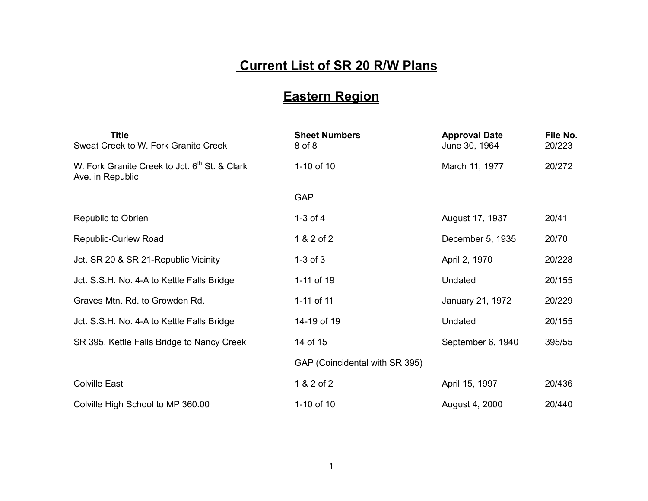## **Current List of SR 20 R/W Plans**

## **Eastern Region**

| Title<br>Sweat Creek to W. Fork Granite Creek                                 | <b>Sheet Numbers</b><br>8 of 8 | <b>Approval Date</b><br>June 30, 1964 | File No.<br>20/223 |
|-------------------------------------------------------------------------------|--------------------------------|---------------------------------------|--------------------|
| W. Fork Granite Creek to Jct. 6 <sup>th</sup> St. & Clark<br>Ave. in Republic | 1-10 of 10                     | March 11, 1977                        | 20/272             |
|                                                                               | <b>GAP</b>                     |                                       |                    |
| Republic to Obrien                                                            | $1-3$ of $4$                   | August 17, 1937                       | 20/41              |
| Republic-Curlew Road                                                          | 1 & 2 of 2                     | December 5, 1935                      | 20/70              |
| Jct. SR 20 & SR 21-Republic Vicinity                                          | $1-3$ of $3$                   | April 2, 1970                         | 20/228             |
| Jct. S.S.H. No. 4-A to Kettle Falls Bridge                                    | 1-11 of 19                     | Undated                               | 20/155             |
| Graves Mtn. Rd. to Growden Rd.                                                | 1-11 of 11                     | January 21, 1972                      | 20/229             |
| Jct. S.S.H. No. 4-A to Kettle Falls Bridge                                    | 14-19 of 19                    | Undated                               | 20/155             |
| SR 395, Kettle Falls Bridge to Nancy Creek                                    | 14 of 15                       | September 6, 1940                     | 395/55             |
|                                                                               | GAP (Coincidental with SR 395) |                                       |                    |
| <b>Colville East</b>                                                          | 1 & 2 of 2                     | April 15, 1997                        | 20/436             |
| Colville High School to MP 360.00                                             | 1-10 of 10                     | August 4, 2000                        | 20/440             |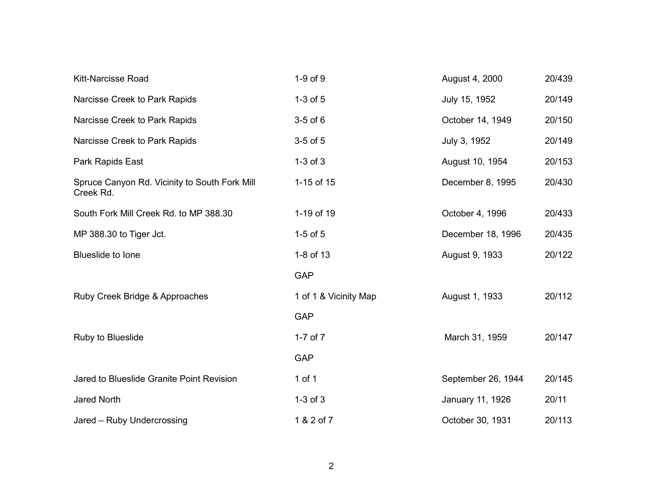| <b>Kitt-Narcisse Road</b>                                  | $1-9$ of $9$          | August 4, 2000     | 20/439 |
|------------------------------------------------------------|-----------------------|--------------------|--------|
| Narcisse Creek to Park Rapids                              | $1-3$ of $5$          | July 15, 1952      | 20/149 |
| Narcisse Creek to Park Rapids                              | $3-5$ of $6$          | October 14, 1949   | 20/150 |
| Narcisse Creek to Park Rapids                              | $3-5$ of $5$          | July 3, 1952       | 20/149 |
| Park Rapids East                                           | $1-3$ of $3$          | August 10, 1954    | 20/153 |
| Spruce Canyon Rd. Vicinity to South Fork Mill<br>Creek Rd. | 1-15 of 15            | December 8, 1995   | 20/430 |
| South Fork Mill Creek Rd. to MP 388.30                     | 1-19 of 19            | October 4, 1996    | 20/433 |
| MP 388.30 to Tiger Jct.                                    | $1-5$ of $5$          | December 18, 1996  | 20/435 |
| Blueslide to lone                                          | 1-8 of 13             | August 9, 1933     | 20/122 |
|                                                            | <b>GAP</b>            |                    |        |
| Ruby Creek Bridge & Approaches                             | 1 of 1 & Vicinity Map | August 1, 1933     | 20/112 |
|                                                            | <b>GAP</b>            |                    |        |
| Ruby to Blueslide                                          | $1-7$ of $7$          | March 31, 1959     | 20/147 |
|                                                            | <b>GAP</b>            |                    |        |
| Jared to Blueslide Granite Point Revision                  | 1 of 1                | September 26, 1944 | 20/145 |
| Jared North                                                | $1-3$ of $3$          | January 11, 1926   | 20/11  |
| Jared - Ruby Undercrossing                                 | 1 & 2 of 7            | October 30, 1931   | 20/113 |